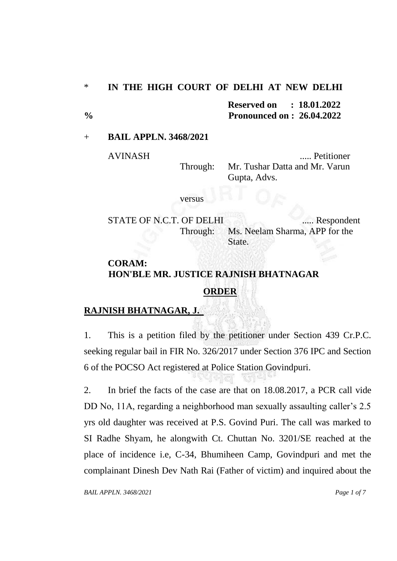### \* **IN THE HIGH COURT OF DELHI AT NEW DELHI**

**Reserved on : 18.01.2022 % Pronounced on : 26.04.2022**

### + **BAIL APPLN. 3468/2021**

AVINASH ..... Petitioner Through: Mr. Tushar Datta and Mr. Varun Gupta, Advs.

versus

STATE OF N.C.T. OF DELHI ...... Respondent Through: Ms. Neelam Sharma, APP for the State.

# **CORAM: HON'BLE MR. JUSTICE RAJNISH BHATNAGAR**

## **ORDER**

## **RAJNISH BHATNAGAR, J.**

1. This is a petition filed by the petitioner under Section 439 Cr.P.C. seeking regular bail in FIR No. 326/2017 under Section 376 IPC and Section 6 of the POCSO Act registered at Police Station Govindpuri.

2. In brief the facts of the case are that on 18.08.2017, a PCR call vide DD No, 11A, regarding a neighborhood man sexually assaulting caller's 2.5 yrs old daughter was received at P.S. Govind Puri. The call was marked to SI Radhe Shyam, he alongwith Ct. Chuttan No. 3201/SE reached at the place of incidence i.e, C-34, Bhumiheen Camp, Govindpuri and met the complainant Dinesh Dev Nath Rai (Father of victim) and inquired about the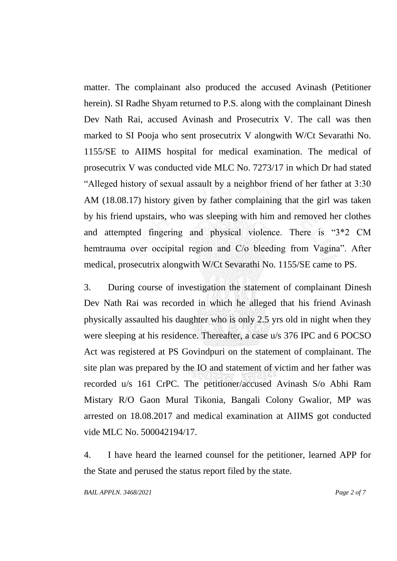matter. The complainant also produced the accused Avinash (Petitioner herein). SI Radhe Shyam returned to P.S. along with the complainant Dinesh Dev Nath Rai, accused Avinash and Prosecutrix V. The call was then marked to SI Pooja who sent prosecutrix V alongwith W/Ct Sevarathi No. 1155/SE to AIIMS hospital for medical examination. The medical of prosecutrix V was conducted vide MLC No. 7273/17 in which Dr had stated "Alleged history of sexual assault by a neighbor friend of her father at 3:30 AM (18.08.17) history given by father complaining that the girl was taken by his friend upstairs, who was sleeping with him and removed her clothes and attempted fingering and physical violence. There is "3\*2 CM hemtrauma over occipital region and C/o bleeding from Vagina". After medical, prosecutrix alongwith W/Ct Sevarathi No. 1155/SE came to PS.

3. During course of investigation the statement of complainant Dinesh Dev Nath Rai was recorded in which he alleged that his friend Avinash physically assaulted his daughter who is only 2.5 yrs old in night when they were sleeping at his residence. Thereafter, a case u/s 376 IPC and 6 POCSO Act was registered at PS Govindpuri on the statement of complainant. The site plan was prepared by the IO and statement of victim and her father was recorded u/s 161 CrPC. The petitioner/accused Avinash S/o Abhi Ram Mistary R/O Gaon Mural Tikonia, Bangali Colony Gwalior, MP was arrested on 18.08.2017 and medical examination at AIIMS got conducted vide MLC No. 500042194/17.

4. I have heard the learned counsel for the petitioner, learned APP for the State and perused the status report filed by the state.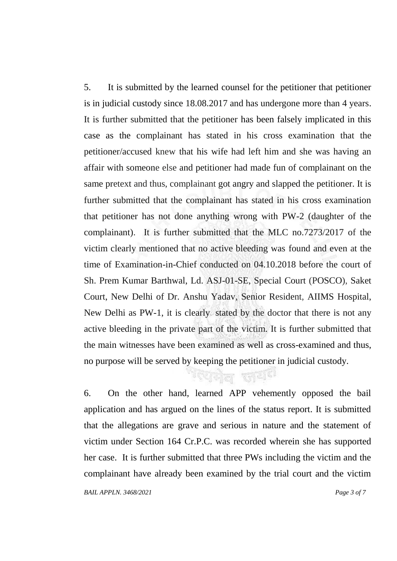5. It is submitted by the learned counsel for the petitioner that petitioner is in judicial custody since 18.08.2017 and has undergone more than 4 years. It is further submitted that the petitioner has been falsely implicated in this case as the complainant has stated in his cross examination that the petitioner/accused knew that his wife had left him and she was having an affair with someone else and petitioner had made fun of complainant on the same pretext and thus, complainant got angry and slapped the petitioner. It is further submitted that the complainant has stated in his cross examination that petitioner has not done anything wrong with PW-2 (daughter of the complainant). It is further submitted that the MLC no.7273/2017 of the victim clearly mentioned that no active bleeding was found and even at the time of Examination-in-Chief conducted on 04.10.2018 before the court of Sh. Prem Kumar Barthwal, Ld. ASJ-01-SE, Special Court (POSCO), Saket Court, New Delhi of Dr. Anshu Yadav, Senior Resident, AIIMS Hospital, New Delhi as PW-1, it is clearly. stated by the doctor that there is not any active bleeding in the private part of the victim. It is further submitted that the main witnesses have been examined as well as cross-examined and thus, no purpose will be served by keeping the petitioner in judicial custody.

ায়েনীল জাতা<sup>য়</sup>

*BAIL APPLN. 3468/2021 Page 3 of 7* 6. On the other hand, learned APP vehemently opposed the bail application and has argued on the lines of the status report. It is submitted that the allegations are grave and serious in nature and the statement of victim under Section 164 Cr.P.C. was recorded wherein she has supported her case. It is further submitted that three PWs including the victim and the complainant have already been examined by the trial court and the victim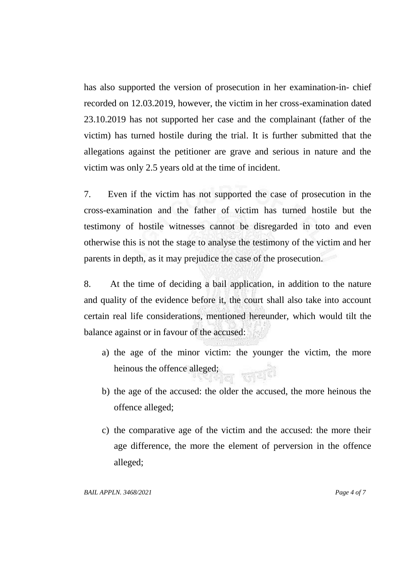has also supported the version of prosecution in her examination-in- chief recorded on 12.03.2019, however, the victim in her cross-examination dated 23.10.2019 has not supported her case and the complainant (father of the victim) has turned hostile during the trial. It is further submitted that the allegations against the petitioner are grave and serious in nature and the victim was only 2.5 years old at the time of incident.

7. Even if the victim has not supported the case of prosecution in the cross-examination and the father of victim has turned hostile but the testimony of hostile witnesses cannot be disregarded in toto and even otherwise this is not the stage to analyse the testimony of the victim and her parents in depth, as it may prejudice the case of the prosecution.

8. At the time of deciding a bail application, in addition to the nature and quality of the evidence before it, the court shall also take into account certain real life considerations, mentioned hereunder, which would tilt the balance against or in favour of the accused:

- a) the age of the minor victim: the younger the victim, the more heinous the offence alleged;
- b) the age of the accused: the older the accused, the more heinous the offence alleged;
- c) the comparative age of the victim and the accused: the more their age difference, the more the element of perversion in the offence alleged;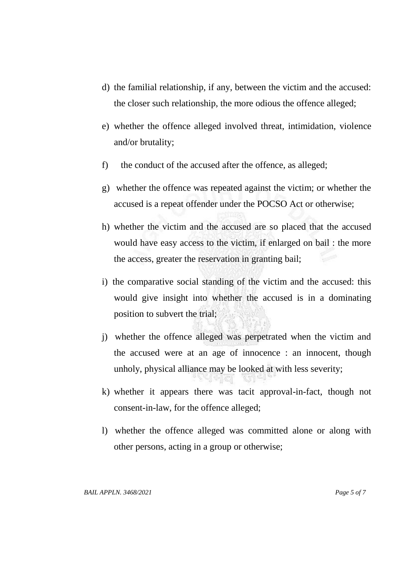- d) the familial relationship, if any, between the victim and the accused: the closer such relationship, the more odious the offence alleged;
- e) whether the offence alleged involved threat, intimidation, violence and/or brutality;
- f) the conduct of the accused after the offence, as alleged;
- g) whether the offence was repeated against the victim; or whether the accused is a repeat offender under the POCSO Act or otherwise;
- h) whether the victim and the accused are so placed that the accused would have easy access to the victim, if enlarged on bail : the more the access, greater the reservation in granting bail;
- i) the comparative social standing of the victim and the accused: this would give insight into whether the accused is in a dominating position to subvert the trial;
- j) whether the offence alleged was perpetrated when the victim and the accused were at an age of innocence : an innocent, though unholy, physical alliance may be looked at with less severity;
- k) whether it appears there was tacit approval-in-fact, though not consent-in-law, for the offence alleged;
- l) whether the offence alleged was committed alone or along with other persons, acting in a group or otherwise;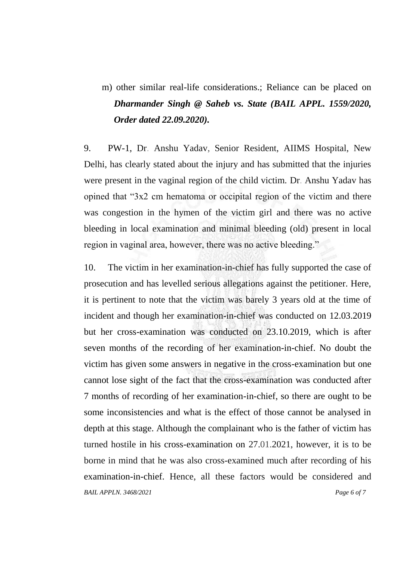m) other similar real-life considerations.; Reliance can be placed on *Dharmander Singh @ Saheb vs. State (BAIL APPL. 1559/2020, Order dated 22.09.2020).*

9. PW-1, Dr. Anshu Yadav, Senior Resident, AIIMS Hospital, New Delhi, has clearly stated about the injury and has submitted that the injuries were present in the vaginal region of the child victim. Dr. Anshu Yadav has opined that "3x2 cm hematoma or occipital region of the victim and there was congestion in the hymen of the victim girl and there was no active bleeding in local examination and minimal bleeding (old) present in local region in vaginal area, however, there was no active bleeding."

*BAIL APPLN. 3468/2021 Page 6 of 7* 10. The victim in her examination-in-chief has fully supported the case of prosecution and has levelled serious allegations against the petitioner. Here, it is pertinent to note that the victim was barely 3 years old at the time of incident and though her examination-in-chief was conducted on 12.03.2019 but her cross-examination was conducted on 23.10.2019, which is after seven months of the recording of her examination-in-chief. No doubt the victim has given some answers in negative in the cross-examination but one cannot lose sight of the fact that the cross-examination was conducted after 7 months of recording of her examination-in-chief, so there are ought to be some inconsistencies and what is the effect of those cannot be analysed in depth at this stage. Although the complainant who is the father of victim has turned hostile in his cross-examination on 27.01.2021, however, it is to be borne in mind that he was also cross-examined much after recording of his examination-in-chief. Hence, all these factors would be considered and